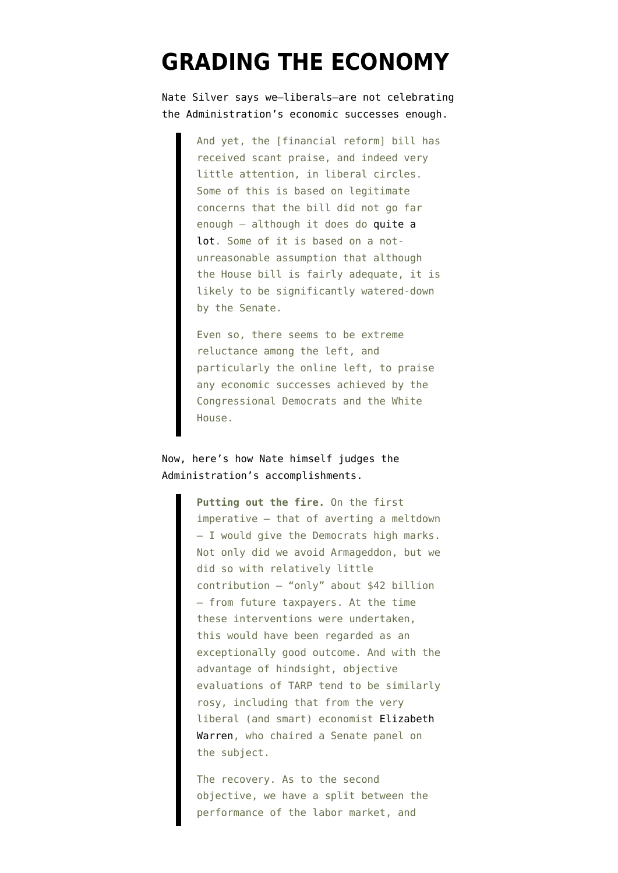## **[GRADING THE ECONOMY](https://www.emptywheel.net/2009/12/13/grading-the-economy/)**

Nate Silver [says](http://www.fivethirtyeight.com/2009/12/if-economy-recovers-and-no-one-cheers.html) we–liberals–are not celebrating the Administration's economic successes enough.

> And yet, the [financial reform] bill has received scant praise, and indeed very little attention, in liberal circles. Some of this is based on legitimate concerns that the bill did not go far enough — although it does do [quite a](https://salsa.democracyinaction.org/o/476/images/HR%204173%20Summary-1.pdf) [lot](https://salsa.democracyinaction.org/o/476/images/HR%204173%20Summary-1.pdf). Some of it is based on a notunreasonable assumption that although the House bill is fairly adequate, it is likely to be significantly watered-down by the Senate.

Even so, there seems to be extreme reluctance among the left, and particularly the online left, to praise any economic successes achieved by the Congressional Democrats and the White House.

Now, here's how Nate himself judges the Administration's accomplishments.

> **Putting out the fire.** On the first imperative — that of averting a meltdown — I would give the Democrats high marks. Not only did we avoid Armageddon, but we did so with relatively little contribution — "only" about \$42 billion — from future taxpayers. At the time these interventions were undertaken, this would have been regarded as an exceptionally good outcome. And with the advantage of hindsight, objective evaluations of TARP tend to be similarly rosy, including that from the very liberal (and smart) economist [Elizabeth](http://cop.senate.gov/documents/cop-120909-report.pdf) [Warren,](http://cop.senate.gov/documents/cop-120909-report.pdf) who chaired a Senate panel on the subject.

The recovery. As to the second objective, we have a split between the performance of the labor market, and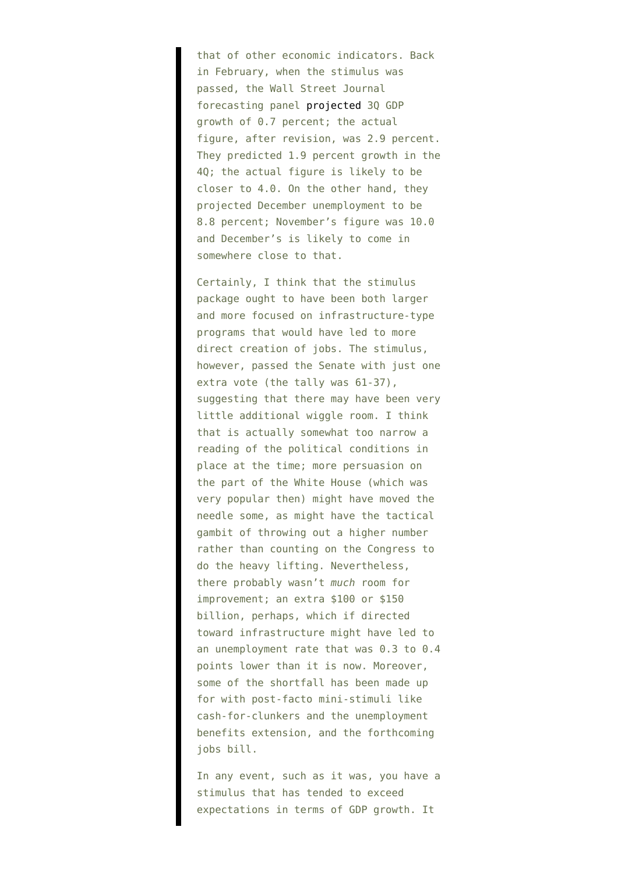that of other economic indicators. Back in February, when the stimulus was passed, the Wall Street Journal forecasting panel [projected](http://online.wsj.com/article/SB123671107124286261.html) 3Q GDP growth of 0.7 percent; the actual figure, after revision, was 2.9 percent. They predicted 1.9 percent growth in the 4Q; the actual figure is likely to be closer to 4.0. On the other hand, they projected December unemployment to be 8.8 percent; November's figure was 10.0 and December's is likely to come in somewhere close to that.

Certainly, I think that the stimulus package ought to have been both larger and more focused on infrastructure-type programs that would have led to more direct creation of jobs. The stimulus, however, passed the Senate with just one extra vote (the tally was 61-37), suggesting that there may have been very little additional wiggle room. I think that is actually somewhat too narrow a reading of the political conditions in place at the time; more persuasion on the part of the White House (which was very popular then) might have moved the needle some, as might have the tactical gambit of throwing out a higher number rather than counting on the Congress to do the heavy lifting. Nevertheless, there probably wasn't *much* room for improvement; an extra \$100 or \$150 billion, perhaps, which if directed toward infrastructure might have led to an unemployment rate that was 0.3 to 0.4 points lower than it is now. Moreover, some of the shortfall has been made up for with post-facto mini-stimuli like cash-for-clunkers and the unemployment benefits extension, and the forthcoming jobs bill.

In any event, such as it was, you have a stimulus that has tended to exceed expectations in terms of GDP growth. It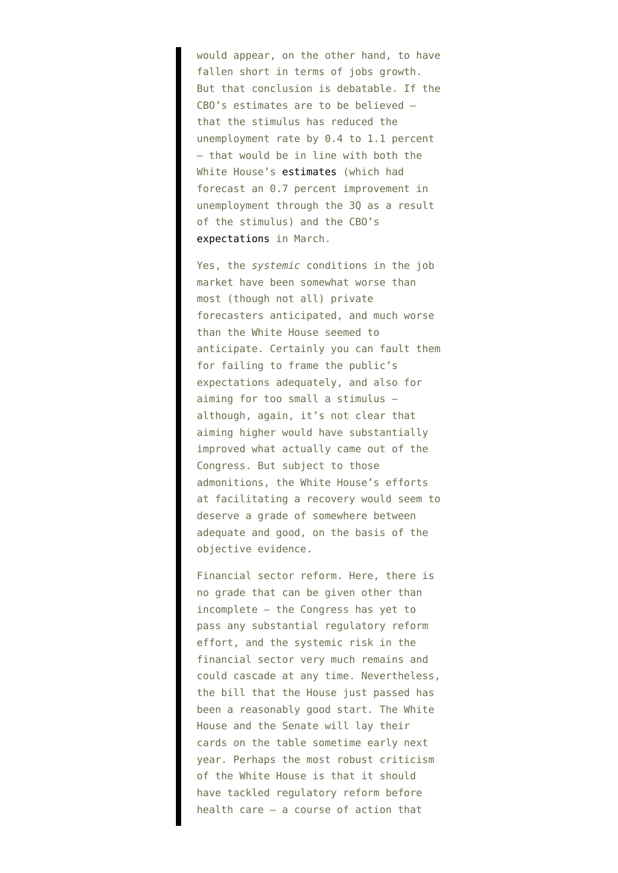would appear, on the other hand, to have fallen short in terms of jobs growth. But that conclusion is debatable. If the CBO's estimates are to be believed that the stimulus has reduced the unemployment rate by 0.4 to 1.1 percent — that would be in line with both the White House's [estimates](http://michaelscomments.files.wordpress.com/2009/11/stimulus-vs-unemployment-october-dots.gif) (which had forecast an 0.7 percent improvement in unemployment through the 3Q as a result of the stimulus) and the CBO's [expectations](http://online.wsj.com/article/SB125964003843970851.html) in March.

Yes, the *systemic* conditions in the job market have been somewhat worse than most (though not all) private forecasters anticipated, and much worse than the White House seemed to anticipate. Certainly you can fault them for failing to frame the public's expectations adequately, and also for aiming for too small a stimulus although, again, it's not clear that aiming higher would have substantially improved what actually came out of the Congress. But subject to those admonitions, the White House's efforts at facilitating a recovery would seem to deserve a grade of somewhere between adequate and good, on the basis of the objective evidence.

Financial sector reform. Here, there is no grade that can be given other than incomplete — the Congress has yet to pass any substantial regulatory reform effort, and the systemic risk in the financial sector very much remains and could cascade at any time. Nevertheless, the bill that the House just passed has been a reasonably good start. The White House and the Senate will lay their cards on the table sometime early next year. Perhaps the most robust criticism of the White House is that it should have tackled regulatory reform before health care — a course of action that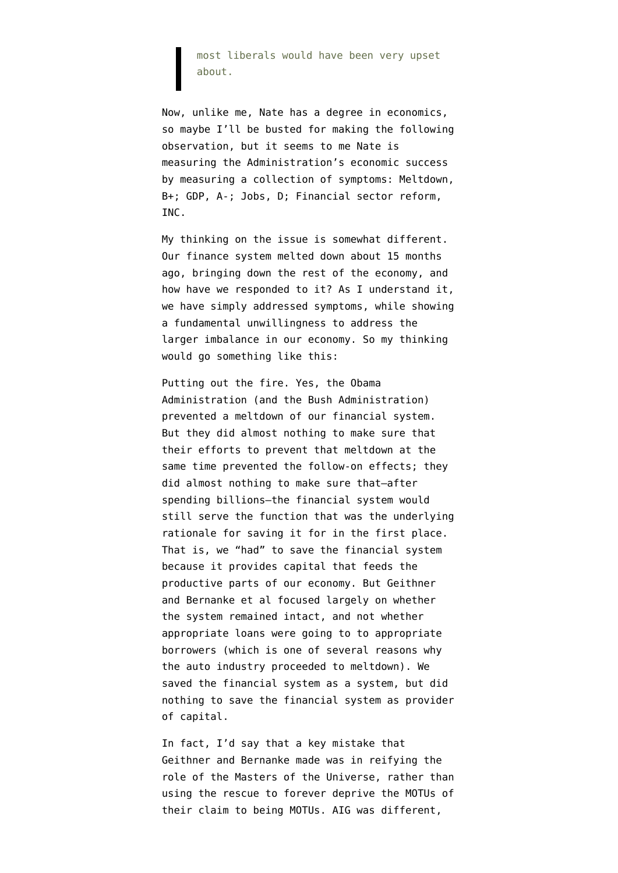most liberals would have been very upset about.

Now, unlike me, Nate has a degree in economics, so maybe I'll be busted for making the following observation, but it seems to me Nate is measuring the Administration's economic success by measuring a collection of symptoms: Meltdown, B+; GDP, A-; Jobs, D; Financial sector reform, INC.

My thinking on the issue is somewhat different. Our finance system melted down about 15 months ago, bringing down the rest of the economy, and how have we responded to it? As I understand it, we have simply addressed symptoms, while showing a fundamental unwillingness to address the larger imbalance in our economy. So my thinking would go something like this:

Putting out the fire. Yes, the Obama Administration (and the Bush Administration) prevented a meltdown of our financial system. But they did almost nothing to make sure that their efforts to prevent that meltdown at the same time prevented the follow-on effects; they did almost nothing to make sure that–after spending billions–the financial system would still serve the function that was the underlying rationale for saving it for in the first place. That is, we "had" to save the financial system because it provides capital that feeds the productive parts of our economy. But Geithner and Bernanke et al focused largely on whether the system remained intact, and not whether appropriate loans were going to to appropriate borrowers (which is one of several reasons why the auto industry proceeded to meltdown). We saved the financial system as a system, but did nothing to save the financial system as provider of capital.

In fact, I'd say that a key mistake that Geithner and Bernanke made was in reifying the role of the Masters of the Universe, rather than using the rescue to forever deprive the MOTUs of their claim to being MOTUs. AIG was different,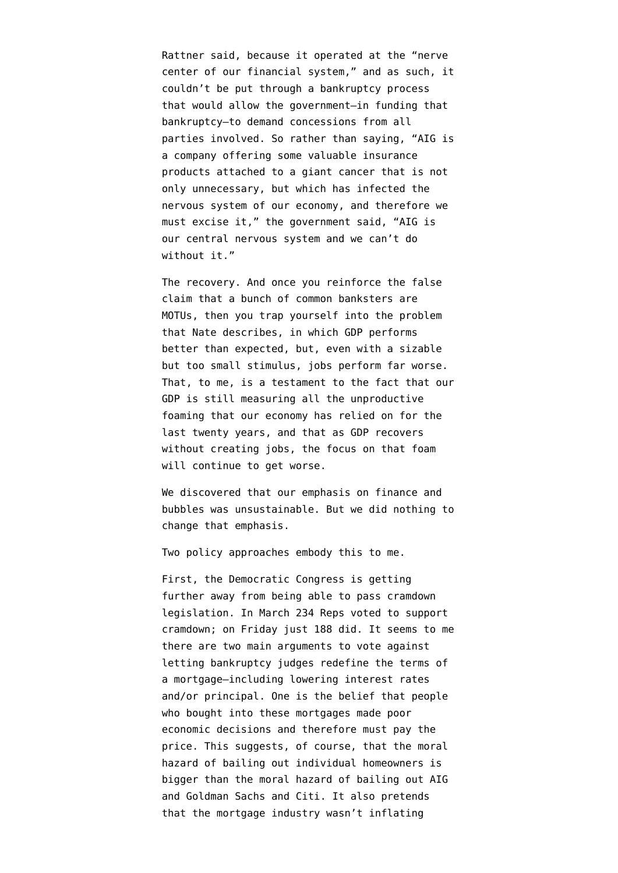Rattner [said](http://emptywheel.firedoglake.com/2009/12/02/steven-rattner-i-motu-i-save-world-you-ignorant/), because it operated at the "nerve center of our financial system," and as such, it couldn't be put through a bankruptcy process that would allow the government–in funding that bankruptcy–to demand concessions from all parties involved. So rather than saying, "AIG is a company offering some valuable insurance products attached to a giant cancer that is not only unnecessary, but which has infected the nervous system of our economy, and therefore we must excise it," the government said, "AIG is our central nervous system and we can't do without it."

The recovery. And once you reinforce the false claim that a bunch of common banksters are MOTUs, then you trap yourself into the problem that Nate describes, in which GDP performs better than expected, but, even with a sizable but too small stimulus, jobs perform far worse. That, to me, is a testament to the fact that our GDP is still measuring all the unproductive foaming that our economy has relied on for the last twenty years, and that as GDP recovers without creating jobs, the focus on that foam will continue to get worse.

We discovered that our emphasis on finance and bubbles was unsustainable. But we did nothing to change that emphasis.

Two policy approaches embody this to me.

First, the Democratic Congress is getting further away from being able to pass cramdown legislation. In March [234 Reps voted](http://clerk.house.gov/evs/2009/roll104.xml) to support cramdown; on Friday just [188 did.](http://clerk.house.gov/evs/2009/roll963.xml) It seems to me there are two main arguments to vote against letting bankruptcy judges redefine the terms of a mortgage–including lowering interest rates and/or principal. One is the belief that people who bought into these mortgages made poor economic decisions and therefore must pay the price. This suggests, of course, that the moral hazard of bailing out individual homeowners is bigger than the moral hazard of bailing out AIG and Goldman Sachs and Citi. It also pretends that the mortgage industry wasn't inflating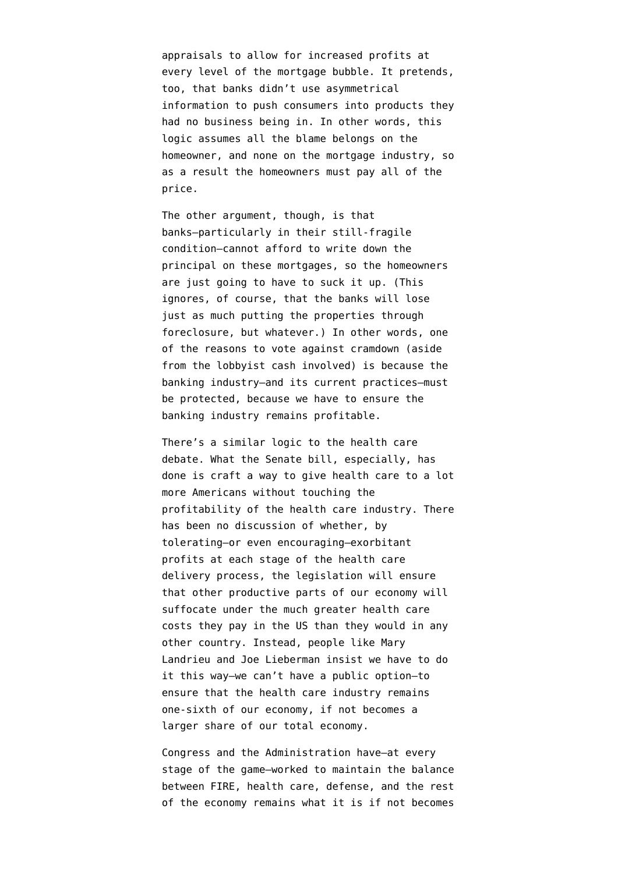appraisals to allow for increased profits at every level of the mortgage bubble. It pretends, too, that banks didn't use asymmetrical information to push consumers into products they had no business being in. In other words, this logic assumes all the blame belongs on the homeowner, and none on the mortgage industry, so as a result the homeowners must pay all of the price.

The other argument, though, is that banks–particularly in their still-fragile condition–cannot afford to write down the principal on these mortgages, so the homeowners are just going to have to suck it up. (This ignores, of course, that the banks will lose just as much putting the properties through foreclosure, but whatever.) In other words, one of the reasons to vote against cramdown (aside from the lobbyist cash involved) is because the banking industry–and its current practices–must be protected, because we have to ensure the banking industry remains profitable.

There's a similar logic to the health care debate. What the Senate bill, especially, has done is craft a way to give health care to a lot more Americans without touching the profitability of the health care industry. There has been no discussion of whether, by tolerating–or even encouraging–exorbitant profits at each stage of the health care delivery process, the legislation will ensure that other productive parts of our economy will suffocate under the much greater health care costs they pay in the US than they would in any other country. Instead, people like Mary Landrieu and Joe Lieberman insist we have to do it this way–we can't have a public option–to ensure that the health care industry remains one-sixth of our economy, if not becomes a larger share of our total economy.

Congress and the Administration have–at every stage of the game–worked to maintain the balance between FIRE, health care, defense, and the rest of the economy remains what it is if not becomes